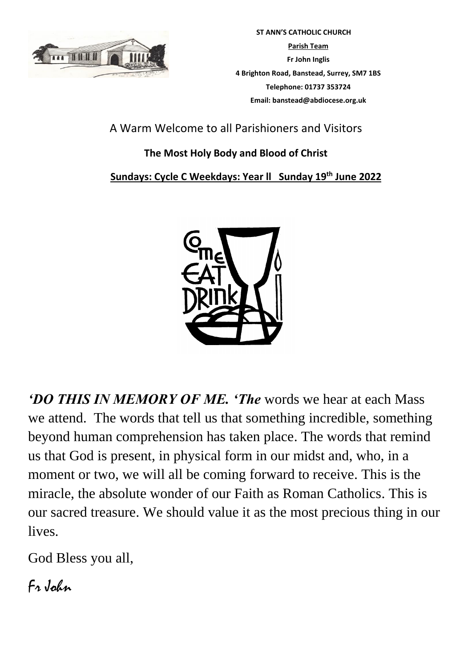

 **ST ANN'S CATHOLIC CHURCH Parish Team Fr John Inglis 4 Brighton Road, Banstead, Surrey, SM7 1BS Telephone: 01737 353724 Email: banstead@abdiocese.org.uk**

A Warm Welcome to all Parishioners and Visitors

# **The Most Holy Body and Blood of Christ**

# **Sundays: Cycle C Weekdays: Year ll Sunday 19 th June 2022**



*'DO THIS IN MEMORY OF ME. 'The* words we hear at each Mass we attend. The words that tell us that something incredible, something beyond human comprehension has taken place. The words that remind us that God is present, in physical form in our midst and, who, in a moment or two, we will all be coming forward to receive. This is the miracle, the absolute wonder of our Faith as Roman Catholics. This is our sacred treasure. We should value it as the most precious thing in our lives.

God Bless you all,

Fr John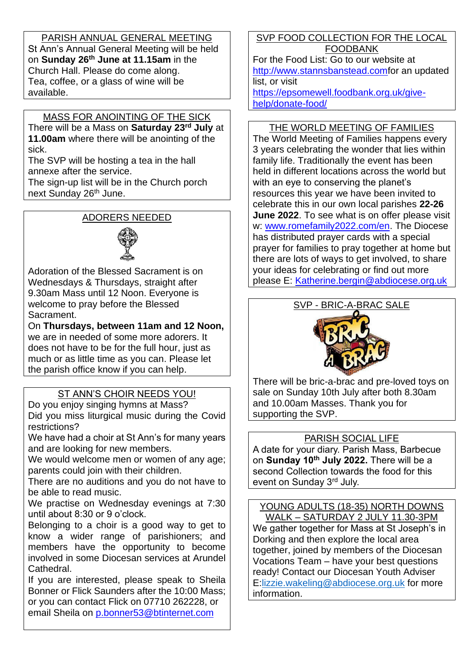PARISH ANNUAL GENERAL MEETING St Ann's Annual General Meeting will be held on **Sunday 26th June at 11.15am** in the Church Hall. Please do come along. Tea, coffee, or a glass of wine will be available.

# MASS FOR ANOINTING OF THE SICK

There will be a Mass on **Saturday 23rd July** at **11.00am** where there will be anointing of the sick.

The SVP will be hosting a tea in the hall annexe after the service.

The sign-up list will be in the Church porch next Sunday 26<sup>th</sup> June.

# ADORERS NEEDED



Adoration of the Blessed Sacrament is on Wednesdays & Thursdays, straight after 9.30am Mass until 12 Noon. Everyone is welcome to pray before the Blessed Sacrament.

On **Thursdays, between 11am and 12 Noon,** we are in needed of some more adorers. It does not have to be for the full hour, just as much or as little time as you can. Please let the parish office know if you can help.

# ST ANN'S CHOIR NEEDS YOU!

Do you enjoy singing hymns at Mass? Did you miss liturgical music during the Covid restrictions?

We have had a choir at St Ann's for many years and are looking for new members.

We would welcome men or women of any age; parents could join with their children.

There are no auditions and you do not have to be able to read music.

We practise on Wednesday evenings at 7:30 until about 8:30 or 9 o'clock.

Belonging to a choir is a good way to get to know a wider range of parishioners; and members have the opportunity to become involved in some Diocesan services at Arundel Cathedral.

If you are interested, please speak to Sheila Bonner or Flick Saunders after the 10:00 Mass; or you can contact Flick on 07710 262228, or email Sheila on [p.bonner53@btinternet.com](mailto:p.bonner53@btinternet.com)

SVP FOOD COLLECTION FOR THE LOCAL FOODBANK

For the Food List: Go to our website at [http://www.stannsbanstead.comf](http://www.stannsbanstead.com/)or an updated list, or visit

[https://epsomewell.foodbank.org.uk/give](https://epsomewell.foodbank.org.uk/give-help/donate-food/)[help/donate-food/](https://epsomewell.foodbank.org.uk/give-help/donate-food/)

#### THE WORLD MEETING OF FAMILIES

The World Meeting of Families happens every 3 years celebrating the wonder that lies within family life. Traditionally the event has been held in different locations across the world but with an eye to conserving the planet's resources this year we have been invited to celebrate this in our own local parishes **22-26 June 2022**. To see what is on offer please visit w: [www.romefamily2022.com/en.](http://www.romefamily2022.com/en) The Diocese has distributed prayer cards with a special prayer for families to pray together at home but there are lots of ways to get involved, to share your ideas for celebrating or find out more please E: [Katherine.bergin@abdiocese.org.uk](mailto:Katherine.bergin@abdiocese.org.uk)



There will be bric-a-brac and pre-loved toys on sale on Sunday 10th July after both 8.30am and 10.00am Masses. Thank you for supporting the SVP.

## PARISH SOCIAL LIFE

A date for your diary. Parish Mass, Barbecue on **Sunday 10th July 2022.** There will be a second Collection towards the food for this event on Sunday 3rd July.

YOUNG ADULTS (18-35) NORTH DOWNS WALK – SATURDAY 2 JULY 11.30-3PM

We gather together for Mass at St Joseph's in Dorking and then explore the local area together, joined by members of the Diocesan Vocations Team – have your best questions ready! Contact our Diocesan Youth Adviser E[:lizzie.wakeling@abdiocese.org.uk](mailto:lizzie.wakeling@abdiocese.org.uk) for more information.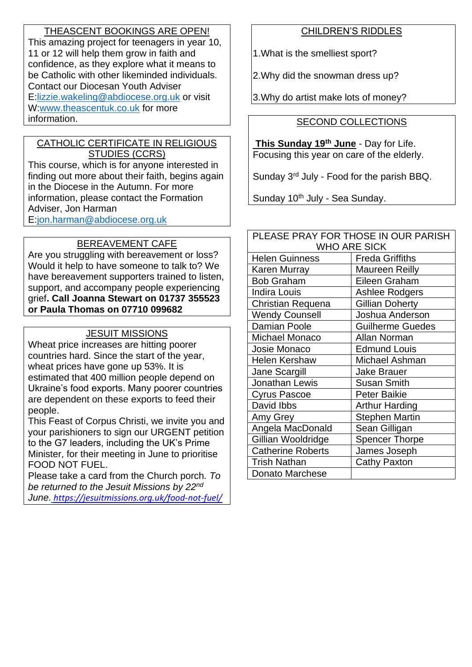## THEASCENT BOOKINGS ARE OPEN!

This amazing project for teenagers in year 10, 11 or 12 will help them grow in faith and confidence, as they explore what it means to be Catholic with other likeminded individuals. Contact our Diocesan Youth Adviser E[:lizzie.wakeling@abdiocese.org.uk](mailto:lizzie.wakeling@abdiocese.org.uk) or visit W[:www.theascentuk.co.uk](http://www.theascentuk.co.uk/) for more information.

#### CATHOLIC CERTIFICATE IN RELIGIOUS STUDIES (CCRS)

This course, which is for anyone interested in finding out more about their faith, begins again in the Diocese in the Autumn. For more information, please contact the Formation Adviser, Jon Harman E[:jon.harman@abdiocese.org.uk](mailto:jon.harman@abdiocese.org.uk)

# BEREAVEMENT CAFE

Are you struggling with bereavement or loss? Would it help to have someone to talk to? We have bereavement supporters trained to listen, support, and accompany people experiencing grief**. Call Joanna Stewart on 01737 355523 or Paula Thomas on 07710 099682** 

#### JESUIT MISSIONS

Wheat price increases are hitting poorer countries hard. Since the start of the year, wheat prices have gone up 53%. It is estimated that 400 million people depend on Ukraine's food exports. Many poorer countries are dependent on these exports to feed their people.

This Feast of Corpus Christi, we invite you and your parishioners to sign our URGENT petition to the G7 leaders, including the UK's Prime Minister, for their meeting in June to prioritise FOOD NOT FUEL.

Please take a card from the Church porch*. To be returned to the Jesuit Missions by 22nd June. [https://jesuitmissions.org.uk/food-not-fuel/](https://eur02.safelinks.protection.outlook.com/?url=https%3A%2F%2Fjesuitmissions.org.uk%2Ffood-not-fuel%2F&data=05%7C01%7Cbanstead%40abdiocese.org.uk%7Cd9717f86b9ac45a6362708da493634fc%7C2bf5dbc217ef4efca1c9ab2dc4edefd0%7C0%7C0%7C637902794412500167%7CUnknown%7CTWFpbGZsb3d8eyJWIjoiMC4wLjAwMDAiLCJQIjoiV2luMzIiLCJBTiI6Ik1haWwiLCJXVCI6Mn0%3D%7C3000%7C%7C%7C&sdata=P6QimWk1uZxPfKILZPBzmMQawNeqkMWeWRN06pqbQnw%3D&reserved=0)*

## CHILDREN'S RIDDLES

1.What is the smelliest sport?

2.Why did the snowman dress up?

3.Why do artist make lots of money?

#### SECOND COLLECTIONS

**This Sunday 19th June** - Day for Life. Focusing this year on care of the elderly.

Sunday 3rd July - Food for the parish BBQ.

Sunday 10<sup>th</sup> July - Sea Sunday.

| PLEASE PRAY FOR THOSE IN OUR PARISH |                         |  |
|-------------------------------------|-------------------------|--|
| <b>WHO ARE SICK</b>                 |                         |  |
| <b>Helen Guinness</b>               | <b>Freda Griffiths</b>  |  |
| Karen Murray                        | <b>Maureen Reilly</b>   |  |
| <b>Bob Graham</b>                   | Eileen Graham           |  |
| <b>Indira Louis</b>                 | Ashlee Rodgers          |  |
| Christian Requena                   | <b>Gillian Doherty</b>  |  |
| <b>Wendy Counsell</b>               | Joshua Anderson         |  |
| <b>Damian Poole</b>                 | <b>Guilherme Guedes</b> |  |
| Michael Monaco                      | Allan Norman            |  |
| Josie Monaco                        | <b>Edmund Louis</b>     |  |
| <b>Helen Kershaw</b>                | Michael Ashman          |  |
| Jane Scargill                       | Jake Brauer             |  |
| Jonathan Lewis                      | <b>Susan Smith</b>      |  |
| Cyrus Pascoe                        | <b>Peter Baikie</b>     |  |
| David Ibbs                          | <b>Arthur Harding</b>   |  |
| Amy Grey                            | <b>Stephen Martin</b>   |  |
| Angela MacDonald                    | Sean Gilligan           |  |
| Gillian Wooldridge                  | <b>Spencer Thorpe</b>   |  |
| <b>Catherine Roberts</b>            | James Joseph            |  |
| <b>Trish Nathan</b>                 | <b>Cathy Paxton</b>     |  |
| <b>Donato Marchese</b>              |                         |  |